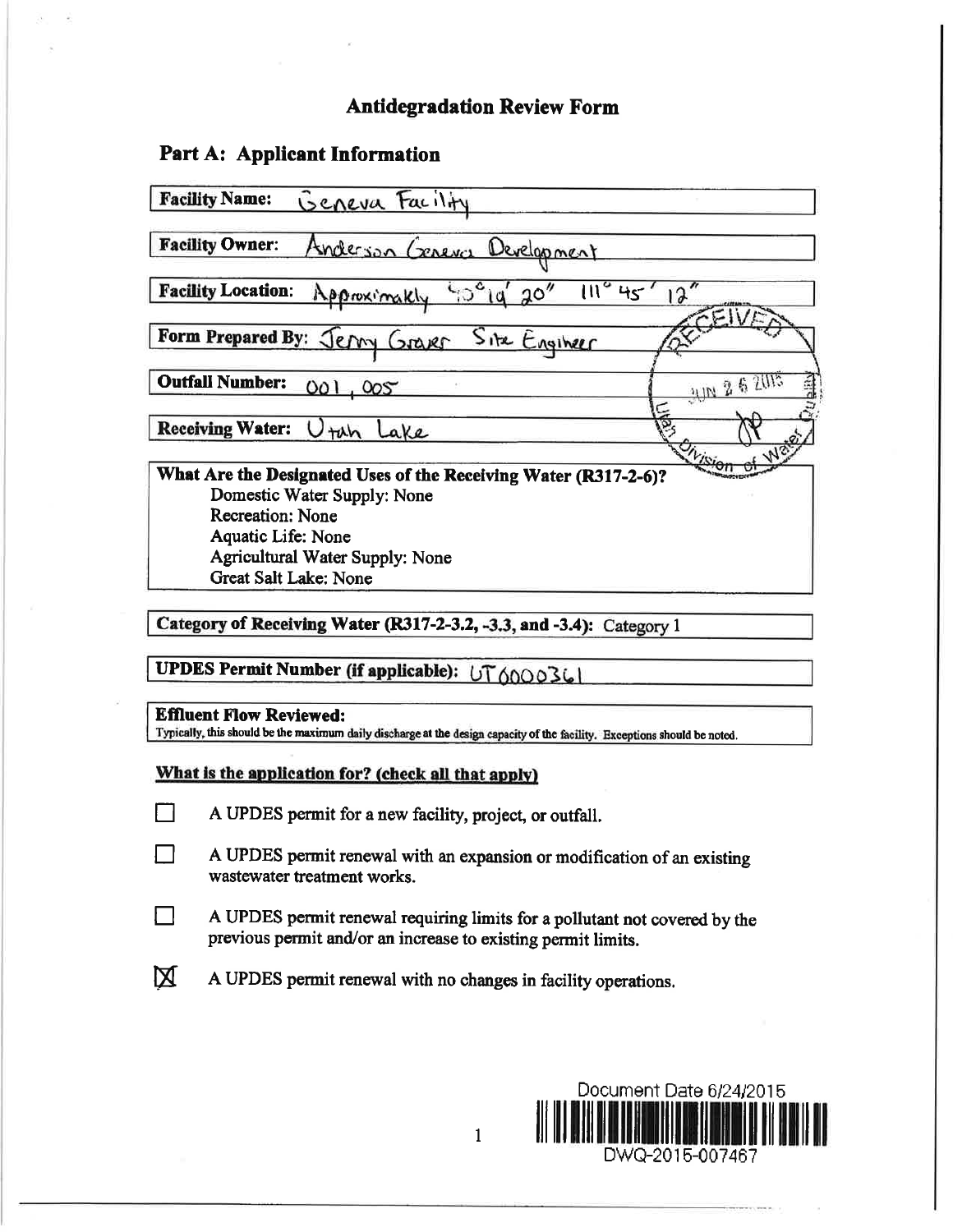## **Antidegradation Review Form**

### Part A: Applicant Information

| Geneva Facility<br><b>Facility Name:</b>                        |                                  |
|-----------------------------------------------------------------|----------------------------------|
| <b>Facility Owner:</b><br>Anderson Cereva<br>Development        |                                  |
| <b>Facility Location:</b><br>ن°0'<br>20''<br>Approximakly       | $12^{7}$<br>$\mathfrak{m}$<br>45 |
| Form Prepared By: Jermy Graver<br>Site Engineer                 |                                  |
| <b>Outfall Number:</b><br>OO I<br>005                           | JUN 2 6 2015                     |
| <b>Receiving Water:</b><br>tah<br>ake                           |                                  |
| What Are the Designated Uses of the Receiving Water (R317-2-6)? |                                  |
| Domestic Water Supply: None                                     |                                  |
| <b>Recreation: None</b>                                         |                                  |
| Aquatic Life: None                                              |                                  |
| Agricultural Water Supply: None                                 |                                  |
| Great Salt Lake: None                                           |                                  |

Category of Receiving Water (R317-2-3.2, -3.3, and -3.4): Category 1

UPDES Permit Number (if applicable): UT6000361

#### **Effluent Flow Reviewed:**

Typically, this should be the maximum daily discharge at the design capacity of the facility. Exceptions should be noted.

#### What is the application for? (check all that apply)

- $\Box$ A UPDES permit for a new facility, project, or outfall.
- A UPDES permit renewal with an expansion or modification of an existing  $\Box$ wastewater treatment works.
- A UPDES permit renewal requiring limits for a pollutant not covered by the П previous permit and/or an increase to existing permit limits.
- 区 A UPDES permit renewal with no changes in facility operations.



 $\mathbf{1}$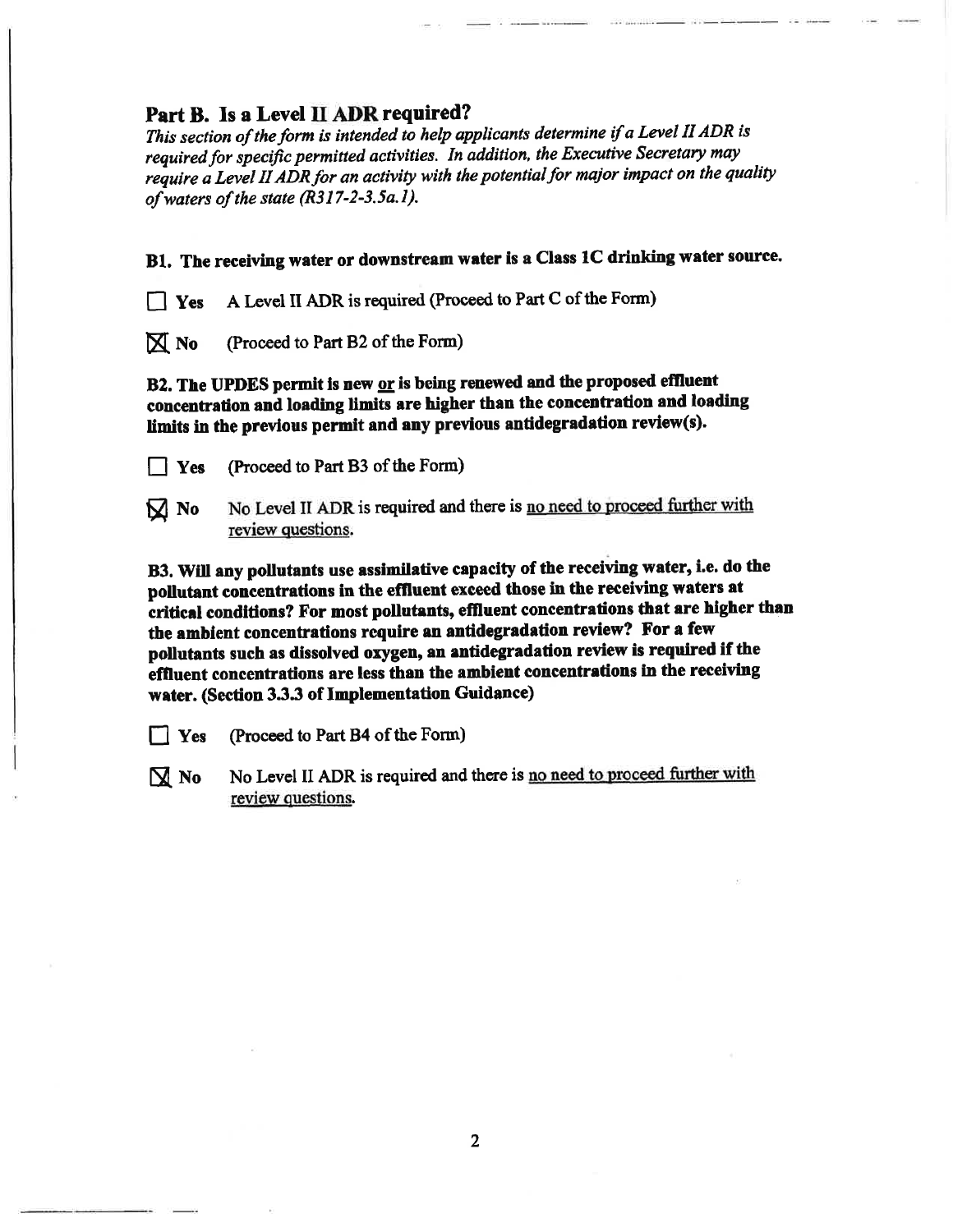## Part B. Is a Level II ADR required?

This section of the form is intended to help applicants determine if a Level II ADR is required for specific permitted activities. In addition, the Executive Secretary may require a Level II ADR for an activity with the potential for major impact on the quality of waters of the state (R317-2-3.5a.1).

B1. The receiving water or downstream water is a Class 1C drinking water source.

A Level II ADR is required (Proceed to Part C of the Form) 

 $\overline{N}$  No (Proceed to Part B2 of the Form)

B2. The UPDES permit is new or is being renewed and the proposed effluent concentration and loading limits are higher than the concentration and loading limits in the previous permit and any previous antidegradation review(s).

- $\vert$  | Yes (Proceed to Part B3 of the Form)
- No Level II ADR is required and there is no need to proceed further with  $M$  No review questions.

B3. Will any pollutants use assimilative capacity of the receiving water, i.e. do the pollutant concentrations in the effluent exceed those in the receiving waters at critical conditions? For most pollutants, effluent concentrations that are higher than the ambient concentrations require an antidegradation review? For a few pollutants such as dissolved oxygen, an antidegradation review is required if the effluent concentrations are less than the ambient concentrations in the receiving water. (Section 3.3.3 of Implementation Guidance)

 $\Box$  Yes (Proceed to Part B4 of the Form)

No Level II ADR is required and there is no need to proceed further with  $\mathbf{\mathbf{\mathbb{N}}}$  No review questions.

 $\overline{2}$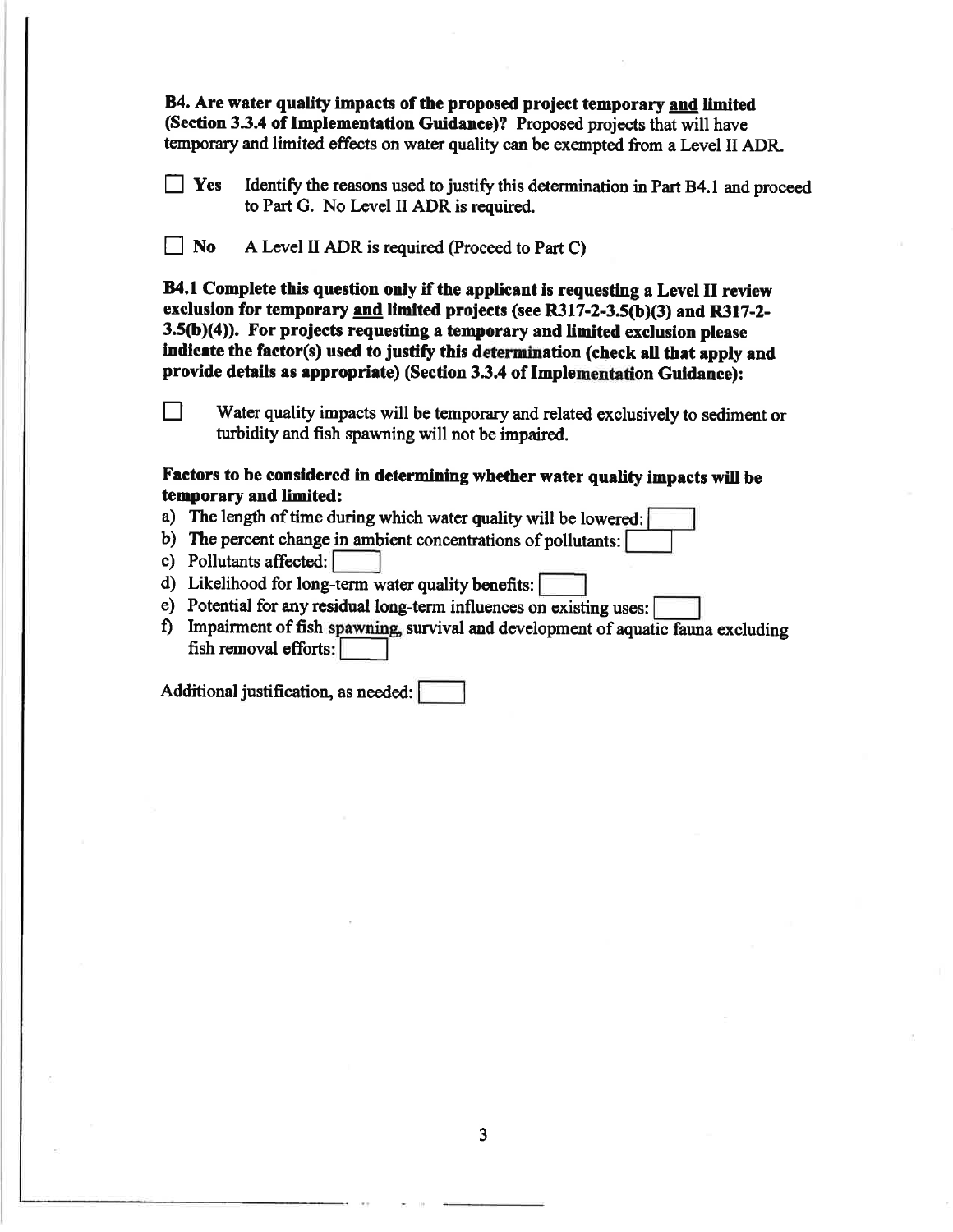B4. Are water quality impacts of the proposed project temporary and limited (Section 3.3.4 of Implementation Guidance)? Proposed projects that will have temporary and limited effects on water quality can be exempted from a Level II ADR.

Identify the reasons used to justify this determination in Part B4.1 and proceed  $\mathbf{V}$   $\mathbf{F}$ to Part G. No Level II ADR is required.

 $\Box$  No A Level II ADR is required (Proceed to Part C)

B4.1 Complete this question only if the applicant is requesting a Level II review exclusion for temporary and limited projects (see R317-2-3.5(b)(3) and R317-2-3.5(b)(4)). For projects requesting a temporary and limited exclusion please indicate the factor(s) used to justify this determination (check all that apply and provide details as appropriate) (Section 3.3.4 of Implementation Guidance):

Water quality impacts will be temporary and related exclusively to sediment or turbidity and fish spawning will not be impaired.

### Factors to be considered in determining whether water quality impacts will be temporary and limited:

- a) The length of time during which water quality will be lowered:
- b) The percent change in ambient concentrations of pollutants:
- c) Pollutants affected:

П

- d) Likelihood for long-term water quality benefits:
- e) Potential for any residual long-term influences on existing uses: [
- f) Impairment of fish spawning, survival and development of aquatic fauna excluding fish removal efforts:

Additional justification, as needed: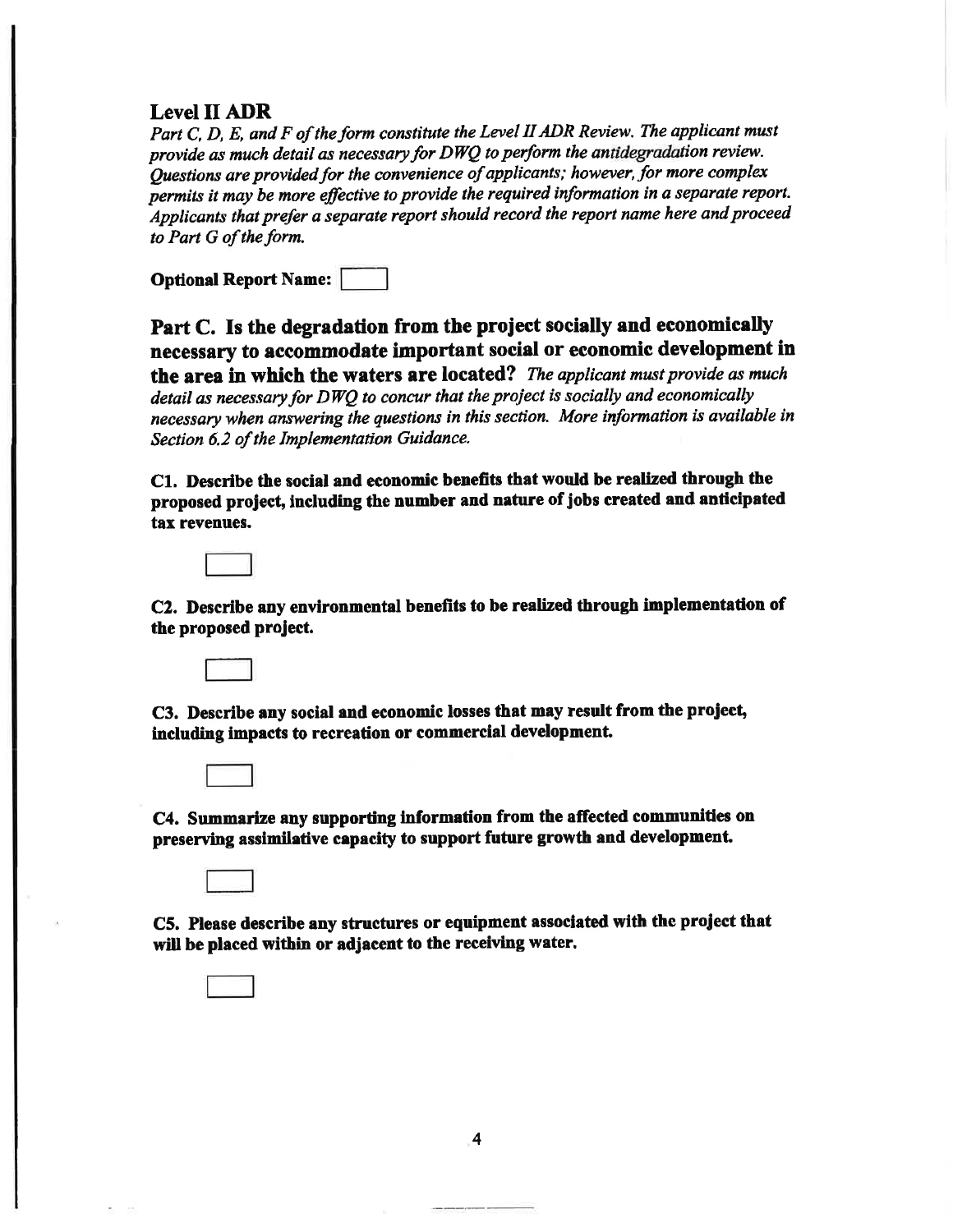### **Level II ADR**

Part C, D, E, and F of the form constitute the Level II ADR Review. The applicant must provide as much detail as necessary for DWQ to perform the antidegradation review. Questions are provided for the convenience of applicants; however, for more complex permits it may be more effective to provide the required information in a separate report. Applicants that prefer a separate report should record the report name here and proceed to Part G of the form.

| <b>Optional Report Name:</b> |  |
|------------------------------|--|
|------------------------------|--|

Part C. Is the degradation from the project socially and economically necessary to accommodate important social or economic development in the area in which the waters are located? The applicant must provide as much detail as necessary for DWO to concur that the project is socially and economically necessary when answering the questions in this section. More information is available in Section 6.2 of the Implementation Guidance.

C1. Describe the social and economic benefits that would be realized through the proposed project, including the number and nature of jobs created and anticipated tax revenues.



C2. Describe any environmental benefits to be realized through implementation of the proposed project.



C3. Describe any social and economic losses that may result from the project, including impacts to recreation or commercial development.



C4. Summarize any supporting information from the affected communities on preserving assimilative capacity to support future growth and development.

C5. Please describe any structures or equipment associated with the project that will be placed within or adjacent to the receiving water.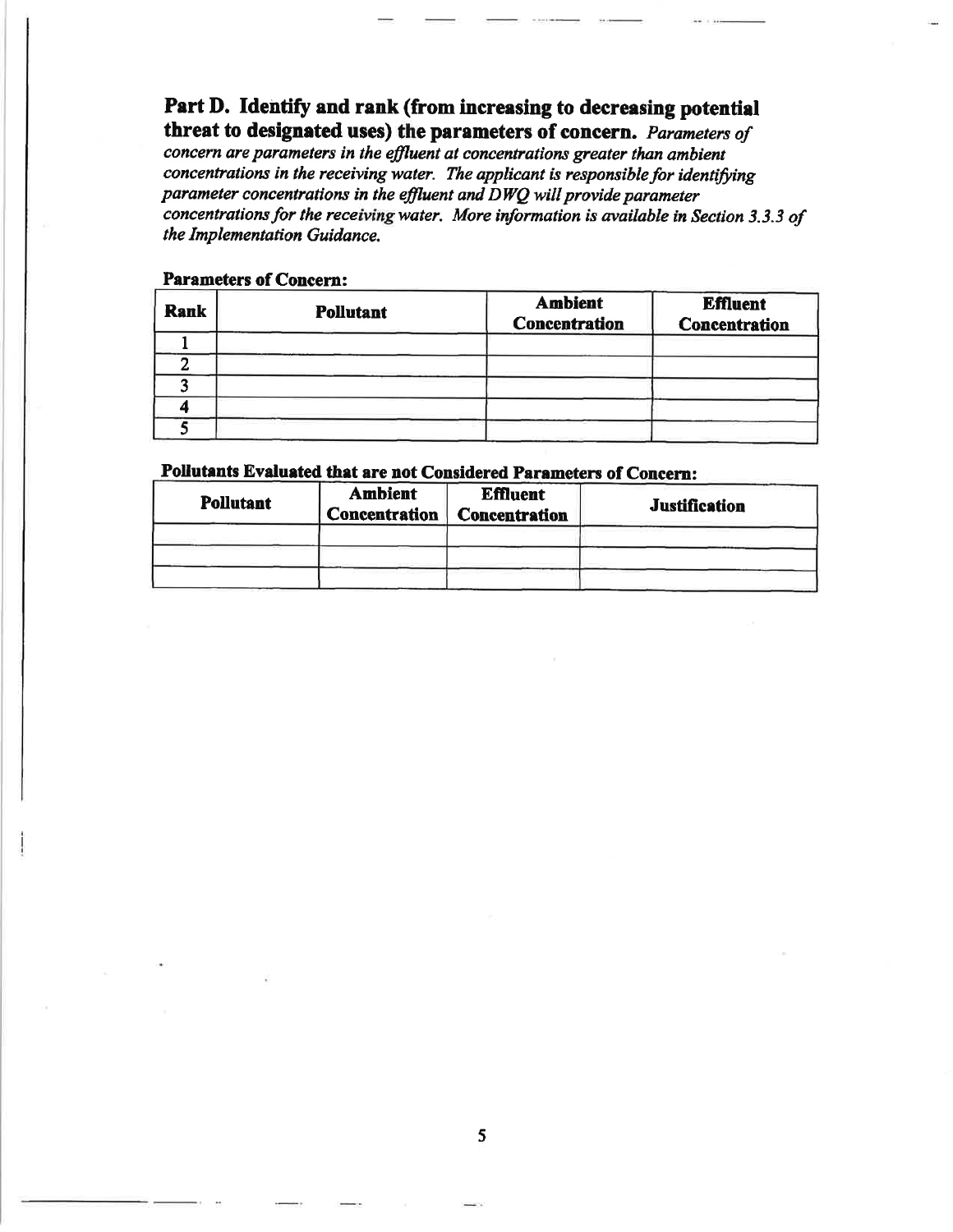Part D. Identify and rank (from increasing to decreasing potential threat to designated uses) the parameters of concern. Parameters of concern are parameters in the effluent at concentrations greater than ambient concentrations in the receiving water. The applicant is responsible for identifying parameter concentrations in the effluent and  $\overline{D}WQ$  will provide parameter

concentrations for the receiving water. More information is available in Section 3.3.3 of the Implementation Guidance.

#### **Parameters of Concern:**

| <b>Rank</b> | <b>Pollutant</b> | <b>Ambient</b><br><b>Concentration</b> | <b>Effluent</b><br><b>Concentration</b> |  |
|-------------|------------------|----------------------------------------|-----------------------------------------|--|
|             |                  |                                        |                                         |  |
|             |                  |                                        |                                         |  |
|             |                  |                                        |                                         |  |
|             |                  |                                        |                                         |  |
|             |                  |                                        |                                         |  |

### Pollutants Evaluated that are not Considered Parameters of Concern:

| <b>Pollutant</b> | <b>Ambient</b><br><b>Effluent</b><br>Concentration<br><b>Concentration</b> |  | <b>Justification</b> |
|------------------|----------------------------------------------------------------------------|--|----------------------|
|                  |                                                                            |  |                      |
|                  |                                                                            |  |                      |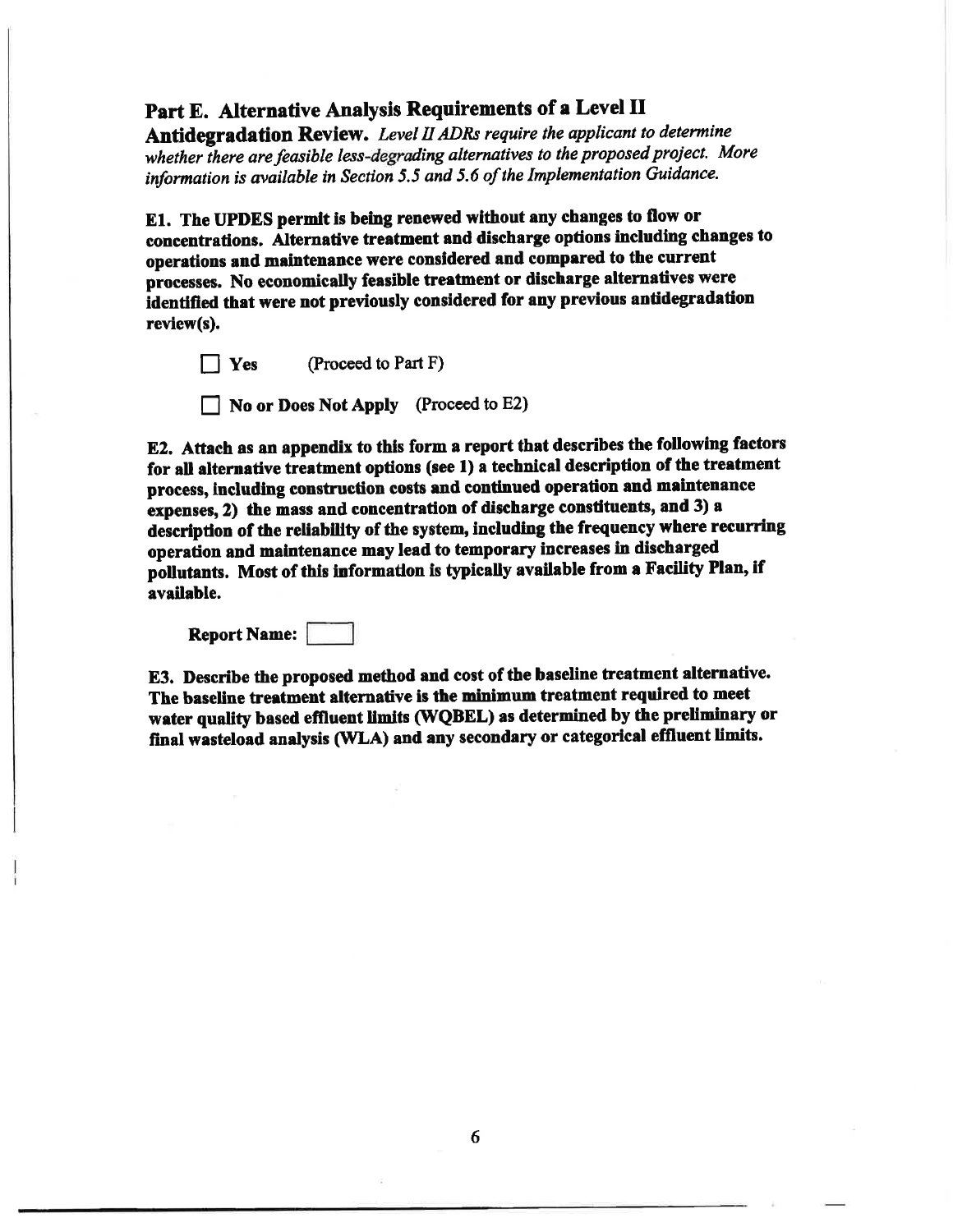# Part E. Alternative Analysis Requirements of a Level II

Antidegradation Review. Level II ADRs require the applicant to determine whether there are feasible less-degrading alternatives to the proposed project. More information is available in Section 5.5 and 5.6 of the Implementation Guidance.

E1. The UPDES permit is being renewed without any changes to flow or concentrations. Alternative treatment and discharge options including changes to operations and maintenance were considered and compared to the current processes. No economically feasible treatment or discharge alternatives were identified that were not previously considered for any previous antidegradation review(s).

(Proceed to Part F)  $\prod$  Yes

No or Does Not Apply (Proceed to E2)

E2. Attach as an appendix to this form a report that describes the following factors for all alternative treatment options (see 1) a technical description of the treatment process, including construction costs and continued operation and maintenance expenses, 2) the mass and concentration of discharge constituents, and 3) a description of the reliability of the system, including the frequency where recurring operation and maintenance may lead to temporary increases in discharged pollutants. Most of this information is typically available from a Facility Plan, if available.

**Report Name:** 

E3. Describe the proposed method and cost of the baseline treatment alternative. The baseline treatment alternative is the minimum treatment required to meet water quality based effluent limits (WQBEL) as determined by the preliminary or final wasteload analysis (WLA) and any secondary or categorical effluent limits.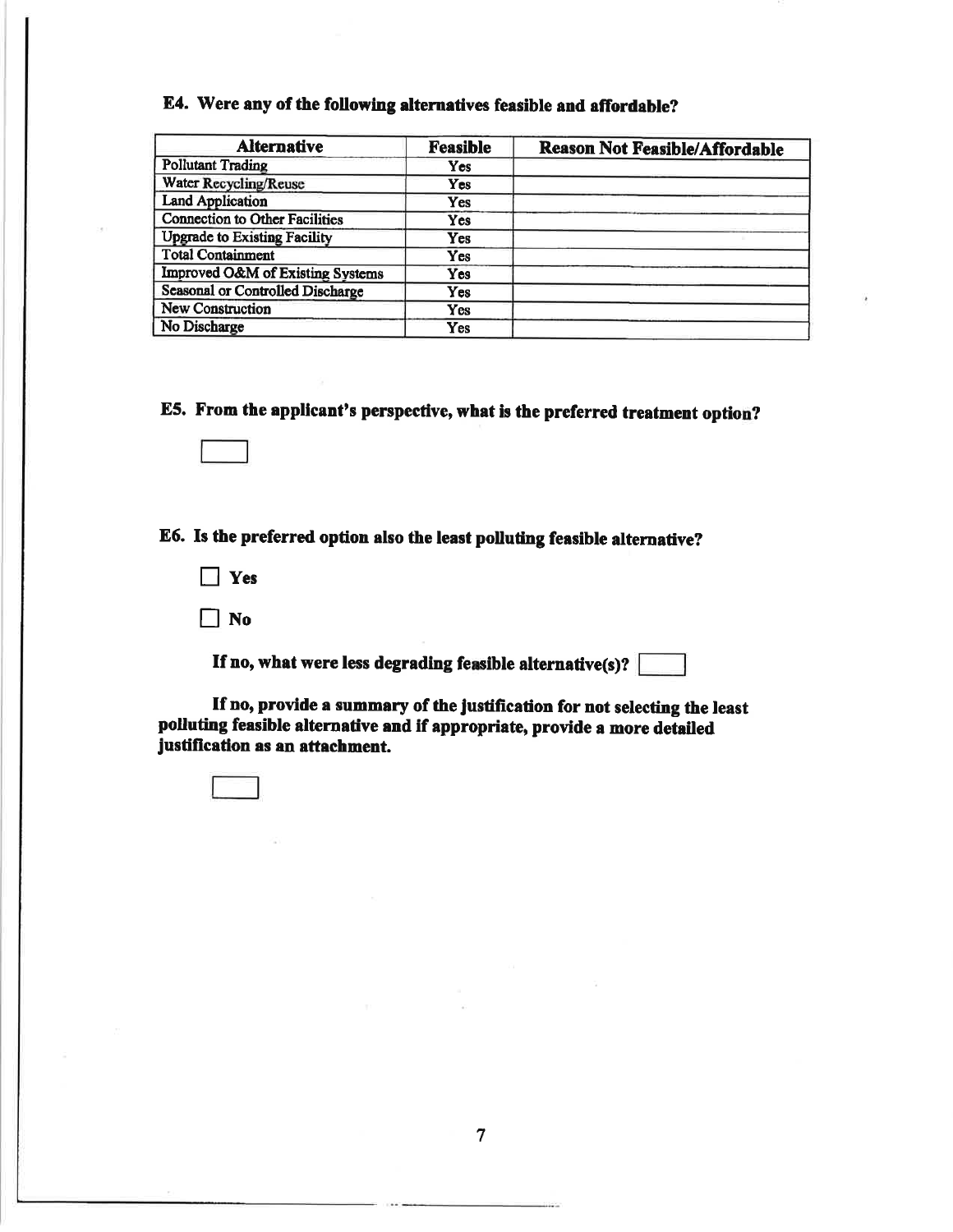# E4. Were any of the following alternatives feasible and affordable?

| <b>Alternative</b>                      | <b>Feasible</b> | <b>Reason Not Feasible/Affordable</b> |
|-----------------------------------------|-----------------|---------------------------------------|
| <b>Pollutant Trading</b>                | <b>Yes</b>      |                                       |
| <b>Water Recycling/Reuse</b>            | Yes             |                                       |
| <b>Land Application</b>                 | Yes             |                                       |
| <b>Connection to Other Facilities</b>   | Yes             |                                       |
| <b>Upgrade to Existing Facility</b>     | Yes             |                                       |
| <b>Total Containment</b>                | Yes             |                                       |
| Improved O&M of Existing Systems        | Yes             |                                       |
| <b>Seasonal or Controlled Discharge</b> | Yes             |                                       |
| <b>New Construction</b>                 | Yes             |                                       |
| No Discharge                            | Yes             |                                       |

E5. From the applicant's perspective, what is the preferred treatment option?

E6. Is the preferred option also the least polluting feasible alternative?

- $\Box$  Yes
- $\Box$  No

If no, what were less degrading feasible alternative(s)?  $[$ 

If no, provide a summary of the justification for not selecting the least polluting feasible alternative and if appropriate, provide a more detailed justification as an attachment.

 $\overline{7}$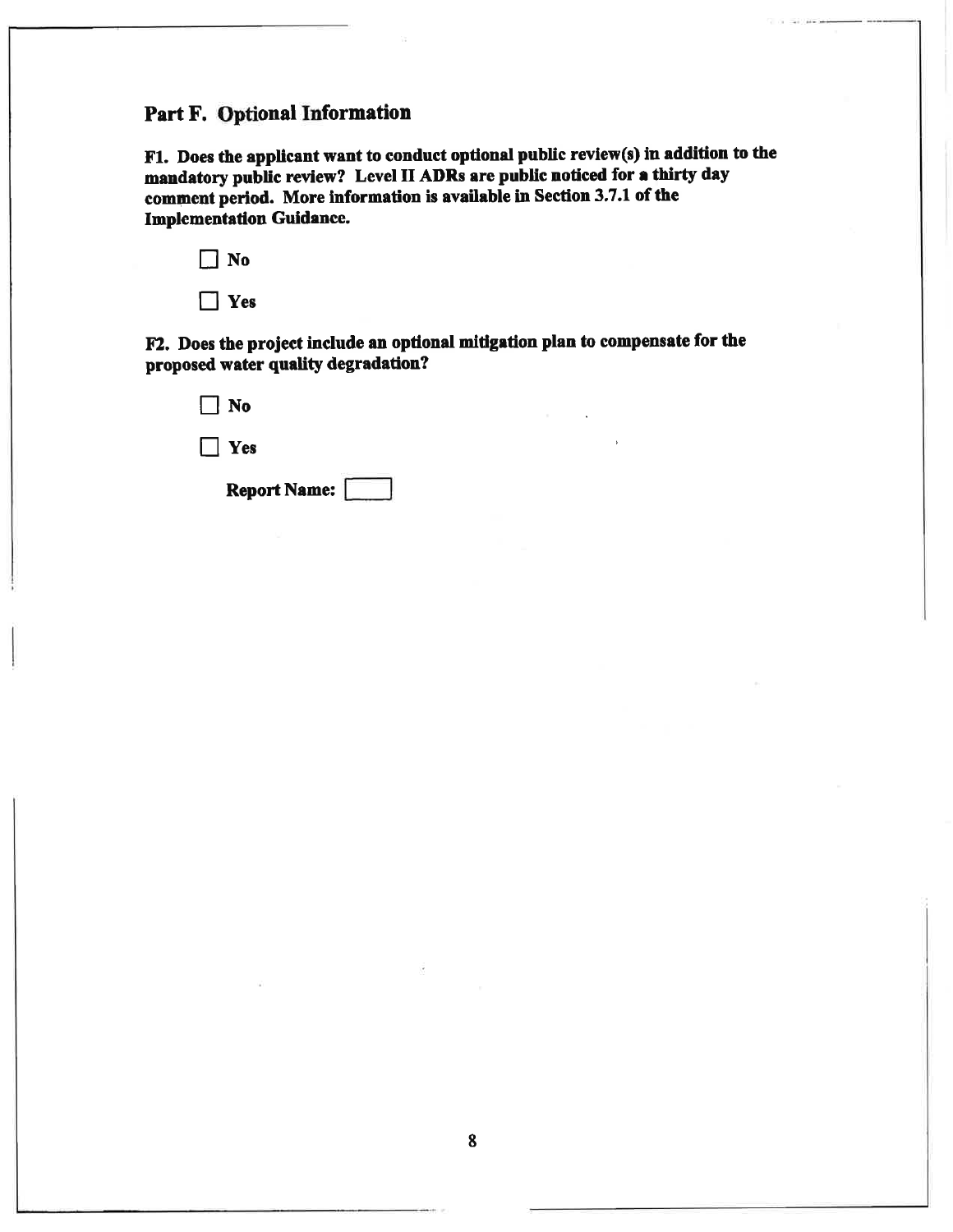# Part F. Optional Information

F1. Does the applicant want to conduct optional public review(s) in addition to the mandatory public review? Level II ADRs are public noticed for a thirty day comment period. More information is available in Section 3.7.1 of the Implementation Guidance.

| .No |
|-----|
| es) |

F2. Does the project include an optional mitigation plan to compensate for the proposed water quality degradation?

| Report Name:       |  |
|--------------------|--|
| $\mathbf{I}$   Yes |  |
| $\vert$   No       |  |